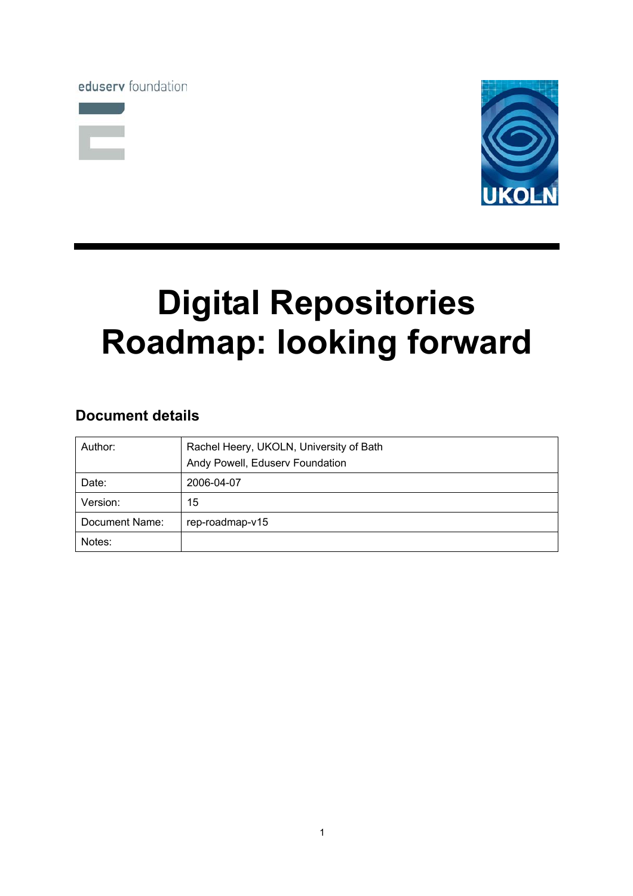eduserv foundation





# **Digital Repositories Roadmap: looking forward**

# **Document details**

| Author:        | Rachel Heery, UKOLN, University of Bath |
|----------------|-----------------------------------------|
|                | Andy Powell, Eduserv Foundation         |
| Date:          | 2006-04-07                              |
| Version:       | 15                                      |
| Document Name: | rep-roadmap-v15                         |
| Notes:         |                                         |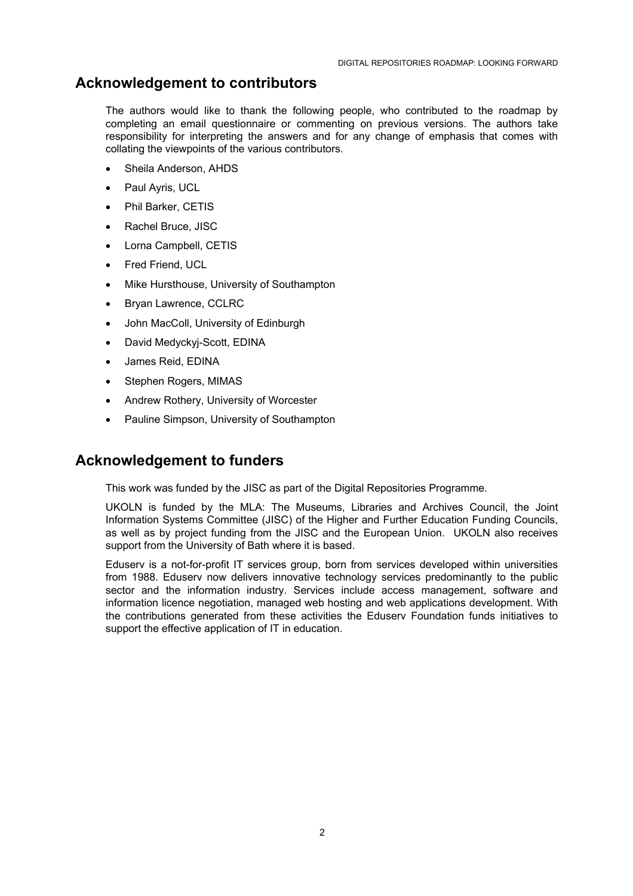# **Acknowledgement to contributors**

The authors would like to thank the following people, who contributed to the roadmap by completing an email questionnaire or commenting on previous versions. The authors take responsibility for interpreting the answers and for any change of emphasis that comes with collating the viewpoints of the various contributors.

- Sheila Anderson, AHDS
- Paul Ayris, UCL
- Phil Barker, CETIS
- Rachel Bruce, JISC
- Lorna Campbell, CETIS
- Fred Friend, UCL
- Mike Hursthouse, University of Southampton
- Bryan Lawrence, CCLRC
- John MacColl, University of Edinburgh
- David Medyckyj-Scott, EDINA
- James Reid, EDINA
- Stephen Rogers, MIMAS
- Andrew Rothery, University of Worcester
- Pauline Simpson, University of Southampton

# **Acknowledgement to funders**

This work was funded by the JISC as part of the Digital Repositories Programme.

UKOLN is funded by the MLA: The Museums, Libraries and Archives Council, the Joint Information Systems Committee (JISC) of the Higher and Further Education Funding Councils, as well as by project funding from the JISC and the European Union. UKOLN also receives support from the University of Bath where it is based.

Eduserv is a not-for-profit IT services group, born from services developed within universities from 1988. Eduserv now delivers innovative technology services predominantly to the public sector and the information industry. Services include access management, software and information licence negotiation, managed web hosting and web applications development. With the contributions generated from these activities the Eduserv Foundation funds initiatives to support the effective application of IT in education.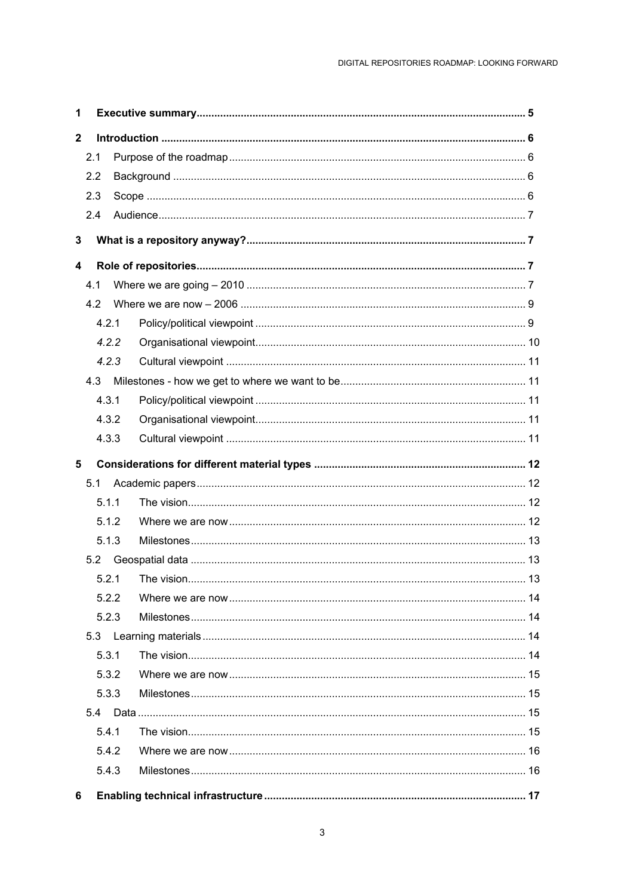| $\mathbf{2}$            |       |  |  |  |  |
|-------------------------|-------|--|--|--|--|
|                         | 2.1   |  |  |  |  |
|                         | 2.2   |  |  |  |  |
|                         | 2.3   |  |  |  |  |
|                         | 2.4   |  |  |  |  |
| 3                       |       |  |  |  |  |
| $\overline{\mathbf{4}}$ |       |  |  |  |  |
|                         | 4.1   |  |  |  |  |
|                         | 4.2   |  |  |  |  |
|                         | 4.2.1 |  |  |  |  |
|                         | 4.2.2 |  |  |  |  |
|                         | 4.2.3 |  |  |  |  |
|                         | 4.3   |  |  |  |  |
|                         | 4.3.1 |  |  |  |  |
|                         | 4.3.2 |  |  |  |  |
|                         | 4.3.3 |  |  |  |  |
| 5                       |       |  |  |  |  |
|                         | 5.1   |  |  |  |  |
|                         | 5.1.1 |  |  |  |  |
|                         |       |  |  |  |  |
|                         | 5.1.2 |  |  |  |  |
|                         | 5.1.3 |  |  |  |  |
|                         | 5.2   |  |  |  |  |
|                         | 5.2.1 |  |  |  |  |
|                         | 5.2.2 |  |  |  |  |
|                         | 5.2.3 |  |  |  |  |
|                         | 5.3   |  |  |  |  |
|                         | 5.3.1 |  |  |  |  |
|                         | 5.3.2 |  |  |  |  |
|                         | 5.3.3 |  |  |  |  |
|                         | 5.4   |  |  |  |  |
|                         | 5.4.1 |  |  |  |  |
|                         | 5.4.2 |  |  |  |  |
|                         | 5.4.3 |  |  |  |  |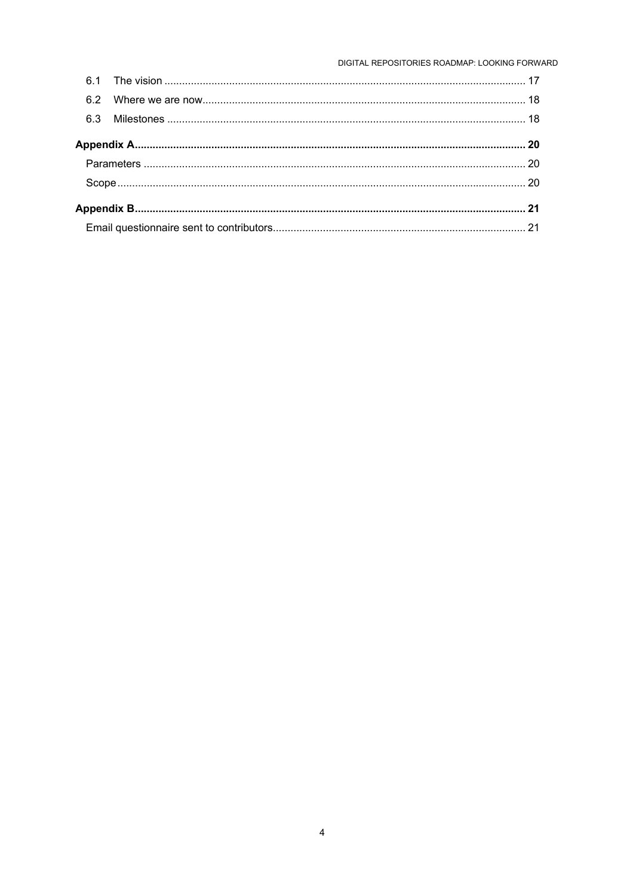DIGITAL REPOSITORIES ROADMAP: LOOKING FORWARD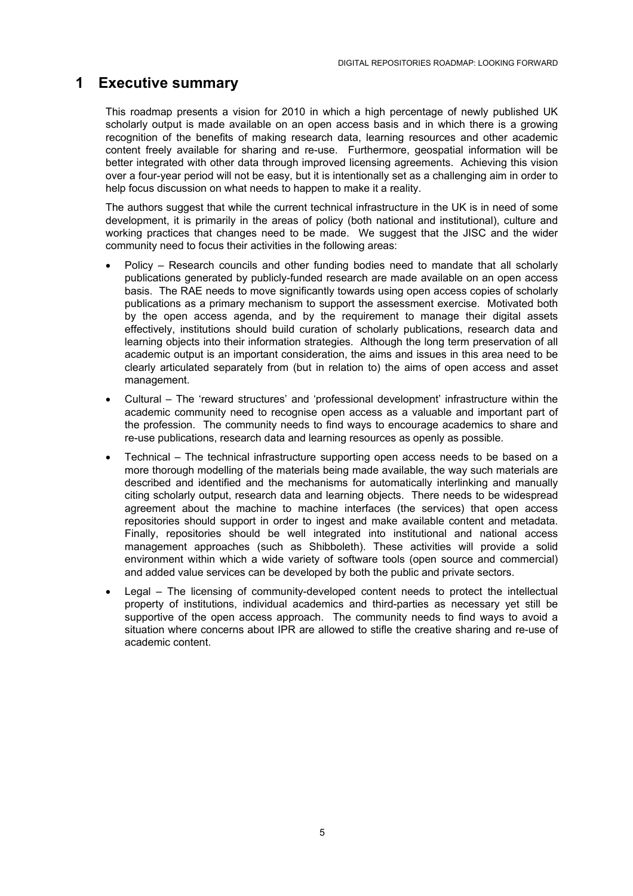# <span id="page-4-0"></span>**1 Executive summary**

This roadmap presents a vision for 2010 in which a high percentage of newly published UK scholarly output is made available on an open access basis and in which there is a growing recognition of the benefits of making research data, learning resources and other academic content freely available for sharing and re-use. Furthermore, geospatial information will be better integrated with other data through improved licensing agreements. Achieving this vision over a four-year period will not be easy, but it is intentionally set as a challenging aim in order to help focus discussion on what needs to happen to make it a reality.

The authors suggest that while the current technical infrastructure in the UK is in need of some development, it is primarily in the areas of policy (both national and institutional), culture and working practices that changes need to be made. We suggest that the JISC and the wider community need to focus their activities in the following areas:

- Policy Research councils and other funding bodies need to mandate that all scholarly publications generated by publicly-funded research are made available on an open access basis. The RAE needs to move significantly towards using open access copies of scholarly publications as a primary mechanism to support the assessment exercise. Motivated both by the open access agenda, and by the requirement to manage their digital assets effectively, institutions should build curation of scholarly publications, research data and learning objects into their information strategies. Although the long term preservation of all academic output is an important consideration, the aims and issues in this area need to be clearly articulated separately from (but in relation to) the aims of open access and asset management.
- Cultural The 'reward structures' and 'professional development' infrastructure within the academic community need to recognise open access as a valuable and important part of the profession. The community needs to find ways to encourage academics to share and re-use publications, research data and learning resources as openly as possible.
- Technical The technical infrastructure supporting open access needs to be based on a more thorough modelling of the materials being made available, the way such materials are described and identified and the mechanisms for automatically interlinking and manually citing scholarly output, research data and learning objects. There needs to be widespread agreement about the machine to machine interfaces (the services) that open access repositories should support in order to ingest and make available content and metadata. Finally, repositories should be well integrated into institutional and national access management approaches (such as Shibboleth). These activities will provide a solid environment within which a wide variety of software tools (open source and commercial) and added value services can be developed by both the public and private sectors.
- Legal The licensing of community-developed content needs to protect the intellectual property of institutions, individual academics and third-parties as necessary yet still be supportive of the open access approach. The community needs to find ways to avoid a situation where concerns about IPR are allowed to stifle the creative sharing and re-use of academic content.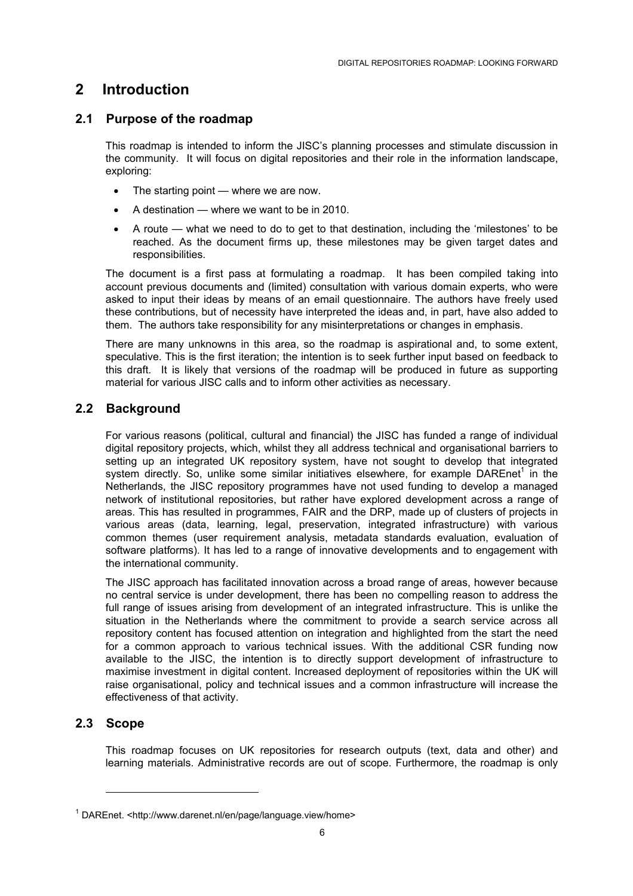# <span id="page-5-0"></span>**2 Introduction**

## **2.1 Purpose of the roadmap**

This roadmap is intended to inform the JISC's planning processes and stimulate discussion in the community. It will focus on digital repositories and their role in the information landscape. exploring:

- The starting point where we are now.
- A destination where we want to be in 2010.
- A route what we need to do to get to that destination, including the 'milestones' to be reached. As the document firms up, these milestones may be given target dates and responsibilities.

The document is a first pass at formulating a roadmap. It has been compiled taking into account previous documents and (limited) consultation with various domain experts, who were asked to input their ideas by means of an email questionnaire. The authors have freely used these contributions, but of necessity have interpreted the ideas and, in part, have also added to them. The authors take responsibility for any misinterpretations or changes in emphasis.

There are many unknowns in this area, so the roadmap is aspirational and, to some extent, speculative. This is the first iteration; the intention is to seek further input based on feedback to this draft. It is likely that versions of the roadmap will be produced in future as supporting material for various JISC calls and to inform other activities as necessary.

## **2.2 Background**

For various reasons (political, cultural and financial) the JISC has funded a range of individual digital repository projects, which, whilst they all address technical and organisational barriers to setting up an integrated UK repository system, have not sought to develop that integrated system directly. So, unlike some similar initiatives elsewhere, for example DAREnet<sup>1</sup> in the Netherlands, the JISC repository programmes have not used funding to develop a managed network of institutional repositories, but rather have explored development across a range of areas. This has resulted in programmes, FAIR and the DRP, made up of clusters of projects in various areas (data, learning, legal, preservation, integrated infrastructure) with various common themes (user requirement analysis, metadata standards evaluation, evaluation of software platforms). It has led to a range of innovative developments and to engagement with the international community.

The JISC approach has facilitated innovation across a broad range of areas, however because no central service is under development, there has been no compelling reason to address the full range of issues arising from development of an integrated infrastructure. This is unlike the situation in the Netherlands where the commitment to provide a search service across all repository content has focused attention on integration and highlighted from the start the need for a common approach to various technical issues. With the additional CSR funding now available to the JISC, the intention is to directly support development of infrastructure to maximise investment in digital content. Increased deployment of repositories within the UK will raise organisational, policy and technical issues and a common infrastructure will increase the effectiveness of that activity.

## **2.3 Scope**

l

This roadmap focuses on UK repositories for research outputs (text, data and other) and learning materials. Administrative records are out of scope. Furthermore, the roadmap is only

<span id="page-5-1"></span><sup>&</sup>lt;sup>1</sup> DAREnet. <http://www.darenet.nl/en/page/language.view/home>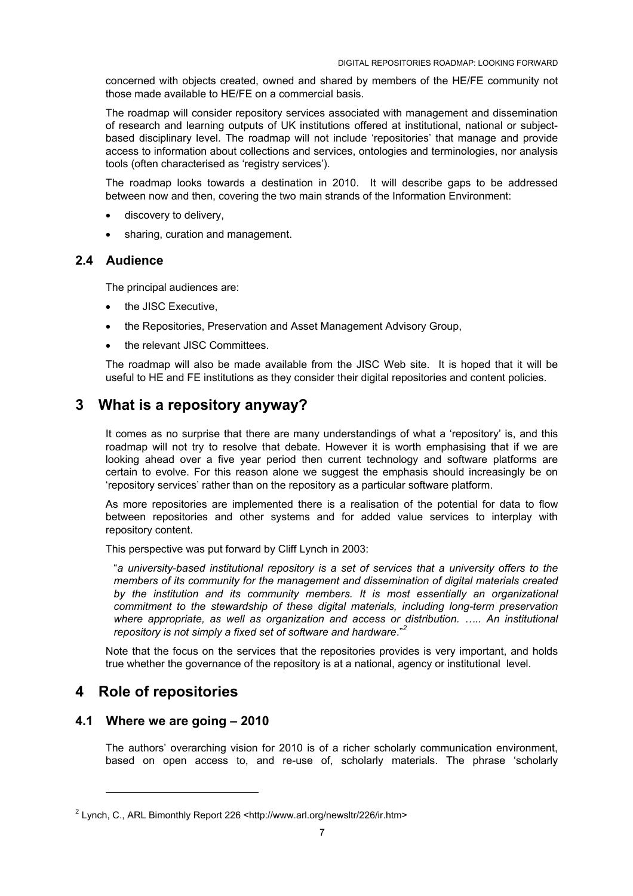<span id="page-6-0"></span>concerned with objects created, owned and shared by members of the HE/FE community not those made available to HE/FE on a commercial basis.

The roadmap will consider repository services associated with management and dissemination of research and learning outputs of UK institutions offered at institutional, national or subjectbased disciplinary level. The roadmap will not include 'repositories' that manage and provide access to information about collections and services, ontologies and terminologies, nor analysis tools (often characterised as 'registry services').

The roadmap looks towards a destination in 2010. It will describe gaps to be addressed between now and then, covering the two main strands of the Information Environment:

- discovery to delivery,
- sharing, curation and management.

#### **2.4 Audience**

The principal audiences are:

- the JISC Executive,
- the Repositories, Preservation and Asset Management Advisory Group,
- the relevant JISC Committees.

The roadmap will also be made available from the JISC Web site. It is hoped that it will be useful to HE and FE institutions as they consider their digital repositories and content policies.

# **3 What is a repository anyway?**

It comes as no surprise that there are many understandings of what a 'repository' is, and this roadmap will not try to resolve that debate. However it is worth emphasising that if we are looking ahead over a five year period then current technology and software platforms are certain to evolve. For this reason alone we suggest the emphasis should increasingly be on 'repository services' rather than on the repository as a particular software platform.

As more repositories are implemented there is a realisation of the potential for data to flow between repositories and other systems and for added value services to interplay with repository content.

This perspective was put forward by Cliff Lynch in 2003:

"*a university-based institutional repository is a set of services that a university offers to the members of its community for the management and dissemination of digital materials created by the institution and its community members. It is most essentially an organizational commitment to the stewardship of these digital materials, including long-term preservation*  where appropriate, as well as organization and access or distribution. ..... An institutional *repository is not simply a fixed set of software and hardware*."*[2](#page-6-1)*

Note that the focus on the services that the repositories provides is very important, and holds true whether the governance of the repository is at a national, agency or institutional level.

# **4 Role of repositories**

l

## **4.1 Where we are going – 2010**

The authors' overarching vision for 2010 is of a richer scholarly communication environment, based on open access to, and re-use of, scholarly materials. The phrase 'scholarly

<span id="page-6-1"></span><sup>&</sup>lt;sup>2</sup> Lynch, C., ARL Bimonthly Report 226 <http://www.arl.org/newsltr/226/ir.htm>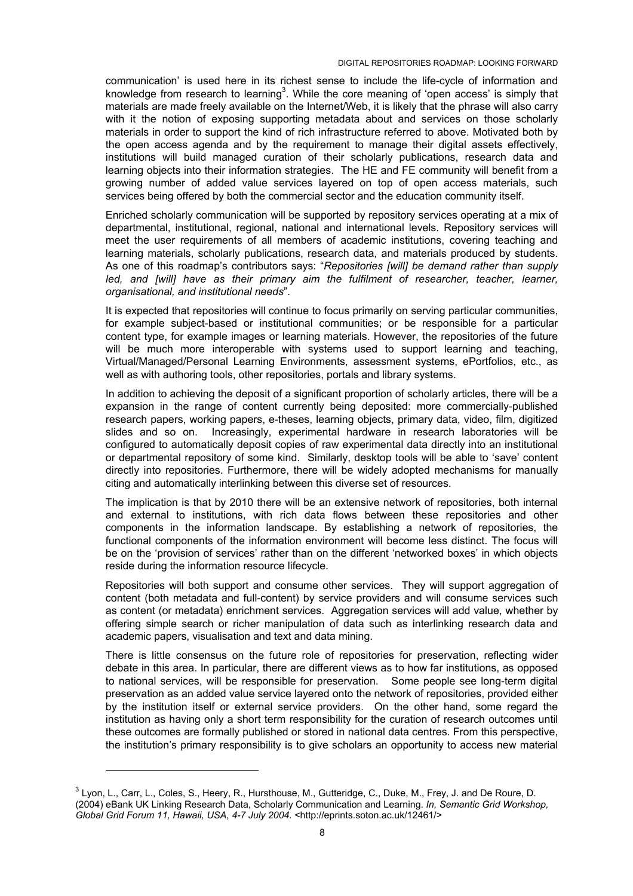communication' is used here in its richest sense to include the life-cycle of information and knowled[g](#page-7-0)e from research to learning<sup>3</sup>. While the core meaning of 'open access' is simply that materials are made freely available on the Internet/Web, it is likely that the phrase will also carry with it the notion of exposing supporting metadata about and services on those scholarly materials in order to support the kind of rich infrastructure referred to above. Motivated both by the open access agenda and by the requirement to manage their digital assets effectively, institutions will build managed curation of their scholarly publications, research data and learning objects into their information strategies. The HE and FE community will benefit from a growing number of added value services layered on top of open access materials, such services being offered by both the commercial sector and the education community itself.

Enriched scholarly communication will be supported by repository services operating at a mix of departmental, institutional, regional, national and international levels. Repository services will meet the user requirements of all members of academic institutions, covering teaching and learning materials, scholarly publications, research data, and materials produced by students. As one of this roadmap's contributors says: "*Repositories [will] be demand rather than supply*  led, and [will] have as their primary aim the fulfilment of researcher, teacher, learner, *organisational, and institutional needs*".

It is expected that repositories will continue to focus primarily on serving particular communities, for example subject-based or institutional communities; or be responsible for a particular content type, for example images or learning materials. However, the repositories of the future will be much more interoperable with systems used to support learning and teaching, Virtual/Managed/Personal Learning Environments, assessment systems, ePortfolios, etc., as well as with authoring tools, other repositories, portals and library systems.

In addition to achieving the deposit of a significant proportion of scholarly articles, there will be a expansion in the range of content currently being deposited: more commercially-published research papers, working papers, e-theses, learning objects, primary data, video, film, digitized slides and so on. Increasingly, experimental hardware in research laboratories will be configured to automatically deposit copies of raw experimental data directly into an institutional or departmental repository of some kind. Similarly, desktop tools will be able to 'save' content directly into repositories. Furthermore, there will be widely adopted mechanisms for manually citing and automatically interlinking between this diverse set of resources.

The implication is that by 2010 there will be an extensive network of repositories, both internal and external to institutions, with rich data flows between these repositories and other components in the information landscape. By establishing a network of repositories, the functional components of the information environment will become less distinct. The focus will be on the 'provision of services' rather than on the different 'networked boxes' in which objects reside during the information resource lifecycle.

Repositories will both support and consume other services. They will support aggregation of content (both metadata and full-content) by service providers and will consume services such as content (or metadata) enrichment services. Aggregation services will add value, whether by offering simple search or richer manipulation of data such as interlinking research data and academic papers, visualisation and text and data mining.

There is little consensus on the future role of repositories for preservation, reflecting wider debate in this area. In particular, there are different views as to how far institutions, as opposed to national services, will be responsible for preservation. Some people see long-term digital preservation as an added value service layered onto the network of repositories, provided either by the institution itself or external service providers. On the other hand, some regard the institution as having only a short term responsibility for the curation of research outcomes until these outcomes are formally published or stored in national data centres. From this perspective, the institution's primary responsibility is to give scholars an opportunity to access new material

l

<span id="page-7-0"></span> $^3$  Lyon, L., Carr, L., Coles, S., Heery, R., Hursthouse, M., Gutteridge, C., Duke, M., Frey, J. and De Roure, D. (2004) eBank UK Linking Research Data, Scholarly Communication and Learning. *In, Semantic Grid Workshop, Global Grid Forum 11, Hawaii, USA, 4-7 July 2004.* <http://eprints.soton.ac.uk/12461/>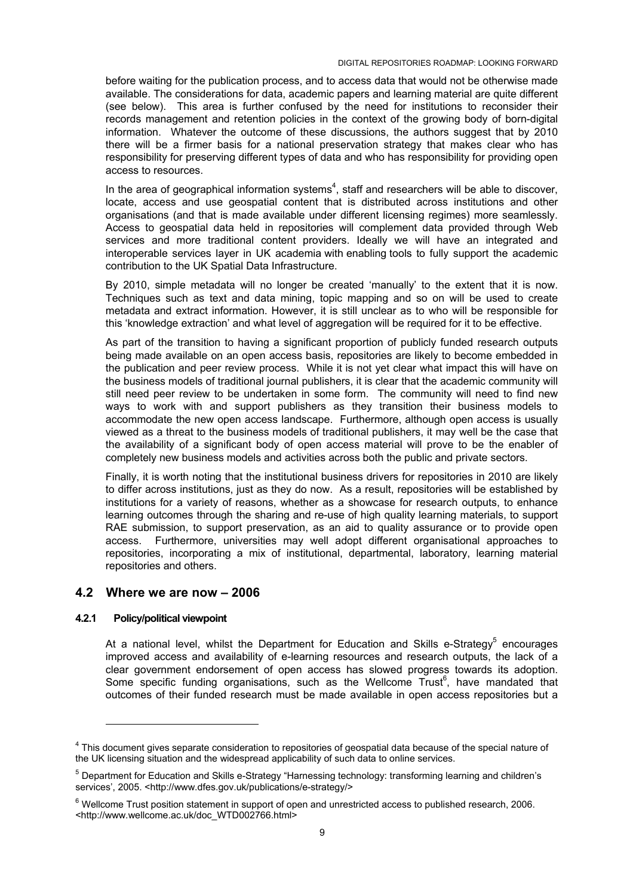<span id="page-8-0"></span>before waiting for the publication process, and to access data that would not be otherwise made available. The considerations for data, academic papers and learning material are quite different (see below). This area is further confused by the need for institutions to reconsider their records management and retention policies in the context of the growing body of born-digital information. Whatever the outcome of these discussions, the authors suggest that by 2010 there will be a firmer basis for a national preservation strategy that makes clear who has responsibility for preserving different types of data and who has responsibility for providing open access to resources.

In the area of geographical information [s](#page-8-1)ystems $4$ , staff and researchers will be able to discover, locate, access and use geospatial content that is distributed across institutions and other organisations (and that is made available under different licensing regimes) more seamlessly. Access to geospatial data held in repositories will complement data provided through Web services and more traditional content providers. Ideally we will have an integrated and interoperable services layer in UK academia with enabling tools to fully support the academic contribution to the UK Spatial Data Infrastructure.

By 2010, simple metadata will no longer be created 'manually' to the extent that it is now. Techniques such as text and data mining, topic mapping and so on will be used to create metadata and extract information. However, it is still unclear as to who will be responsible for this 'knowledge extraction' and what level of aggregation will be required for it to be effective.

As part of the transition to having a significant proportion of publicly funded research outputs being made available on an open access basis, repositories are likely to become embedded in the publication and peer review process. While it is not yet clear what impact this will have on the business models of traditional journal publishers, it is clear that the academic community will still need peer review to be undertaken in some form. The community will need to find new ways to work with and support publishers as they transition their business models to accommodate the new open access landscape. Furthermore, although open access is usually viewed as a threat to the business models of traditional publishers, it may well be the case that the availability of a significant body of open access material will prove to be the enabler of completely new business models and activities across both the public and private sectors.

Finally, it is worth noting that the institutional business drivers for repositories in 2010 are likely to differ across institutions, just as they do now. As a result, repositories will be established by institutions for a variety of reasons, whether as a showcase for research outputs, to enhance learning outcomes through the sharing and re-use of high quality learning materials, to support RAE submission, to support preservation, as an aid to quality assurance or to provide open access. Furthermore, universities may well adopt different organisational approaches to repositories, incorporating a mix of institutional, departmental, laboratory, learning material repositories and others.

## **4.2 Where we are now – 2006**

#### **4.2.1 Policy/political viewpoint**

l

At a national level, whilst the Department for Education and Skills e-Strategy<sup>5</sup> encourages improved access and availability of e-learning resources and research outputs, the lack of a clear government endorsement of open access has slowed progress towards its adoption. Some specific funding organisations, such as the Wellcome  $Trust<sup>6</sup>$  $Trust<sup>6</sup>$  $Trust<sup>6</sup>$ , have mandated that outcomes of their funded research must be made available in open access repositories but a

<span id="page-8-1"></span><sup>&</sup>lt;sup>4</sup> This document gives separate consideration to repositories of geospatial data because of the special nature of the UK licensing situation and the widespread applicability of such data to online services.

<span id="page-8-2"></span><sup>&</sup>lt;sup>5</sup> Department for Education and Skills e-Strategy "Harnessing technology: transforming learning and children's services', 2005. <http://www.dfes.gov.uk/publications/e-strategy/>

<span id="page-8-3"></span> $^6$  Wellcome Trust position statement in support of open and unrestricted access to published research, 2006. <http://www.wellcome.ac.uk/doc\_WTD002766.html>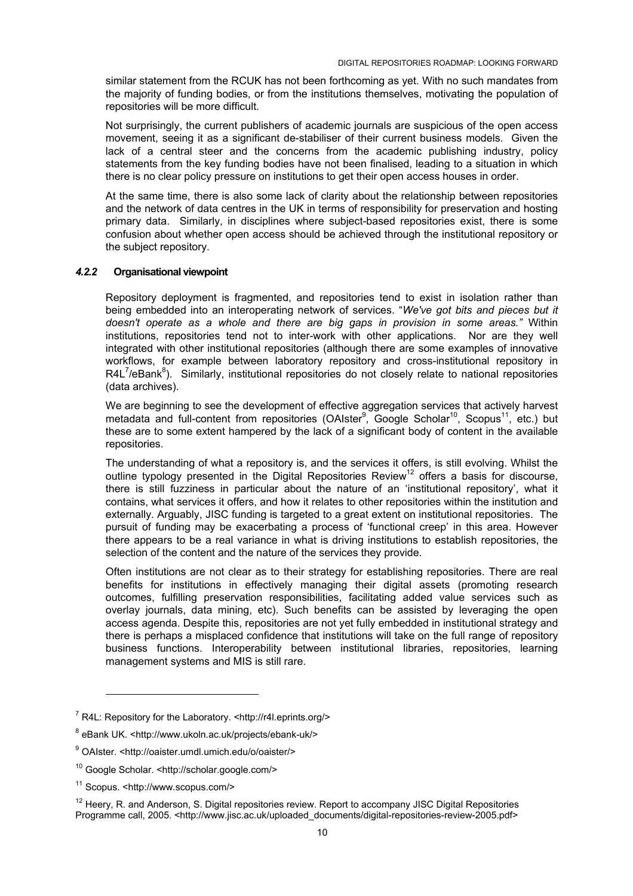<span id="page-9-0"></span>similar statement from the RCUK has not been forthcoming as yet. With no such mandates from the majority of funding bodies, or from the institutions themselves, motivating the population of repositories will be more difficult.

Not surprisingly, the current publishers of academic journals are suspicious of the open access movement, seeing it as a significant de-stabiliser of their current business models. Given the lack of a central steer and the concerns from the academic publishing industry, policy statements from the key funding bodies have not been finalised, leading to a situation in which there is no clear policy pressure on institutions to get their open access houses in order.

At the same time, there is also some lack of clarity about the relationship between repositories and the network of data centres in the UK in terms of responsibility for preservation and hosting primary data. Similarly, in disciplines where subject-based repositories exist, there is some confusion about whether open access should be achieved through the institutional repository or the subject repository.

#### *4.2.2* **Organisational viewpoint**

Repository deployment is fragmented, and repositories tend to exist in isolation rather than being embedded into an interoperating network of services. "*We've got bits and pieces but it doesn't operate as a whole and there are big gaps in provision in some areas."* Within institutions, repositories tend not to inter-work with other applications. Nor are they well integrated with other institutional repositories (although there are some examples of innovative workflows, for example between laboratory repository and cross-institutional repository in R4L<sup>7</sup>/eBank<sup>8</sup>). Similarly, institutional repositories do not closely relate to national repositories (data archives).

We are beginning to see the development of effective aggregation services that actively harvest metadata and full-content from repositories (OAIster<sup>9</sup>, Google Scholar<sup>10</sup>, Scopus<sup>11</sup>, etc.) but these are to some extent hampered by the lack of a significant body of content in the available repositories.

The understanding of what a repository is, and the services it offers, is still evolving. Whilst the outline typology presented in the Digital Repositories Review<sup>12</sup> offers a basis for discourse, there is still fuzziness in particular about the nature of an 'institutional repository', what it contains, what services it offers, and how it relates to other repositories within the institution and externally. Arguably, JISC funding is targeted to a great extent on institutional repositories. The pursuit of funding may be exacerbating a process of 'functional creep' in this area. However there appears to be a real variance in what is driving institutions to establish repositories, the selection of the content and the nature of the services they provide.

Often institutions are not clear as to their strategy for establishing repositories. There are real benefits for institutions in effectively managing their digital assets (promoting research outcomes, fulfilling preservation responsibilities, facilitating added value services such as overlay journals, data mining, etc). Such benefits can be assisted by leveraging the open access agenda. Despite this, repositories are not yet fully embedded in institutional strategy and there is perhaps a misplaced confidence that institutions will take on the full range of repository business functions. Interoperability between institutional libraries, repositories, learning management systems and MIS is still rare.

l

<span id="page-9-1"></span><sup>&</sup>lt;sup>7</sup> R4L: Repository for the Laboratory. <http://r4l.eprints.org/>

<span id="page-9-2"></span><sup>&</sup>lt;sup>8</sup> eBank UK. <http://www.ukoln.ac.uk/projects/ebank-uk/>

<span id="page-9-3"></span><sup>&</sup>lt;sup>9</sup> OAIster. <http://oaister.umdl.umich.edu/o/oaister/>

<span id="page-9-4"></span><sup>10</sup> Google Scholar. <http://scholar.google.com/>

<span id="page-9-5"></span><sup>11</sup> Scopus. <http://www.scopus.com/>

<span id="page-9-6"></span><sup>&</sup>lt;sup>12</sup> Heery, R. and Anderson, S. Digital repositories review. Report to accompany JISC Digital Repositories Programme call, 2005. <http://www.jisc.ac.uk/uploaded\_documents/digital-repositories-review-2005.pdf>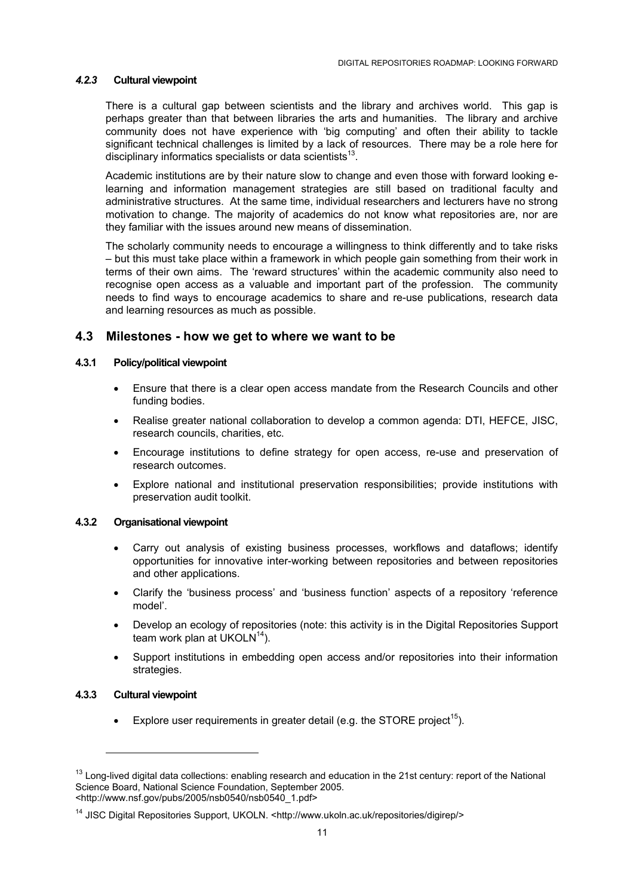#### <span id="page-10-0"></span>*4.2.3* **Cultural viewpoint**

There is a cultural gap between scientists and the library and archives world. This gap is perhaps greater than that between libraries the arts and humanities. The library and archive community does not have experience with 'big computing' and often their ability to tackle significant technical challenges is limited by a lack of resources. There may be a role here for disciplinary informatics specialists or data scientists $13$ .

Academic institutions are by their nature slow to change and even those with forward looking elearning and information management strategies are still based on traditional faculty and administrative structures. At the same time, individual researchers and lecturers have no strong motivation to change. The majority of academics do not know what repositories are, nor are they familiar with the issues around new means of dissemination.

The scholarly community needs to encourage a willingness to think differently and to take risks – but this must take place within a framework in which people gain something from their work in terms of their own aims. The 'reward structures' within the academic community also need to recognise open access as a valuable and important part of the profession. The community needs to find ways to encourage academics to share and re-use publications, research data and learning resources as much as possible.

#### **4.3 Milestones - how we get to where we want to be**

#### **4.3.1 Policy/political viewpoint**

- Ensure that there is a clear open access mandate from the Research Councils and other funding bodies.
- Realise greater national collaboration to develop a common agenda: DTI, HEFCE, JISC, research councils, charities, etc.
- Encourage institutions to define strategy for open access, re-use and preservation of research outcomes.
- Explore national and institutional preservation responsibilities; provide institutions with preservation audit toolkit.

#### **4.3.2 Organisational viewpoint**

- Carry out analysis of existing business processes, workflows and dataflows; identify opportunities for innovative inter-working between repositories and between repositories and other applications.
- Clarify the 'business process' and 'business function' aspects of a repository 'reference model'.
- Develop an ecology of repositories (note: this activity is in the Digital Repositories Support team work plan at UKOL $N^{14}$ ).
- Support institutions in embedding open access and/or repositories into their information strategies.

#### **4.3.3 Cultural viewpoint**

l

• Explore user requirements in greater detail (e.g. the STORE project<sup>15</sup>).

<span id="page-10-3"></span><span id="page-10-1"></span> $13$  Long-lived digital data collections: enabling research and education in the 21st century: report of the National Science Board, National Science Foundation, September 2005. <http://www.nsf.gov/pubs/2005/nsb0540/nsb0540\_1.pdf>

<span id="page-10-2"></span><sup>&</sup>lt;sup>14</sup> JISC Digital Repositories Support, UKOLN. <http://www.ukoln.ac.uk/repositories/digirep/>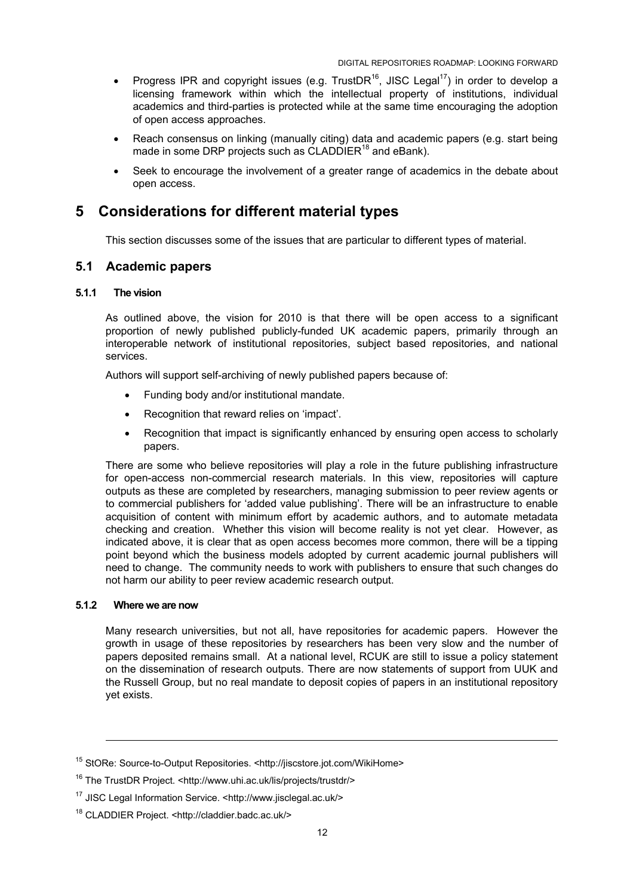- <span id="page-11-0"></span>• Progress IPR and copyright issues (e.g. TrustDR<sup>16</sup>, JISC Legal<sup>17</sup>) in order to develop a licensing framework within which the intellectual property of institutions, individual academics and third-parties is protected while at the same time encouraging the adoption of open access approaches.
- Reach consensus on linking (manually citing) data and academic papers (e.g. start being made in some DRP projects such as CLADDIER<sup>18</sup> and eBank).
- Seek to encourage the involvement of a greater range of academics in the debate about open access.

# **5 Considerations for different material types**

This section discusses some of the issues that are particular to different types of material.

#### **5.1 Academic papers**

#### **5.1.1 The vision**

As outlined above, the vision for 2010 is that there will be open access to a significant proportion of newly published publicly-funded UK academic papers, primarily through an interoperable network of institutional repositories, subject based repositories, and national services.

Authors will support self-archiving of newly published papers because of:

- Funding body and/or institutional mandate.
- Recognition that reward relies on 'impact'.
- Recognition that impact is significantly enhanced by ensuring open access to scholarly papers.

There are some who believe repositories will play a role in the future publishing infrastructure for open-access non-commercial research materials. In this view, repositories will capture outputs as these are completed by researchers, managing submission to peer review agents or to commercial publishers for 'added value publishing'. There will be an infrastructure to enable acquisition of content with minimum effort by academic authors, and to automate metadata checking and creation. Whether this vision will become reality is not yet clear. However, as indicated above, it is clear that as open access becomes more common, there will be a tipping point beyond which the business models adopted by current academic journal publishers will need to change. The community needs to work with publishers to ensure that such changes do not harm our ability to peer review academic research output.

#### **5.1.2 Where we are now**

l

Many research universities, but not all, have repositories for academic papers. However the growth in usage of these repositories by researchers has been very slow and the number of papers deposited remains small. At a national level, RCUK are still to issue a policy statement on the dissemination of research outputs. There are now statements of support from UUK and the Russell Group, but no real mandate to deposit copies of papers in an institutional repository yet exists.

<sup>15</sup> StORe: Source-to-Output Repositories. <http://jiscstore.jot.com/WikiHome>

<span id="page-11-1"></span><sup>16</sup> The TrustDR Project. <http://www.uhi.ac.uk/lis/projects/trustdr/>

<span id="page-11-2"></span><sup>17</sup> JISC Legal Information Service. <http://www.jisclegal.ac.uk/>

<span id="page-11-3"></span><sup>18</sup> CLADDIER Project. <http://claddier.badc.ac.uk/>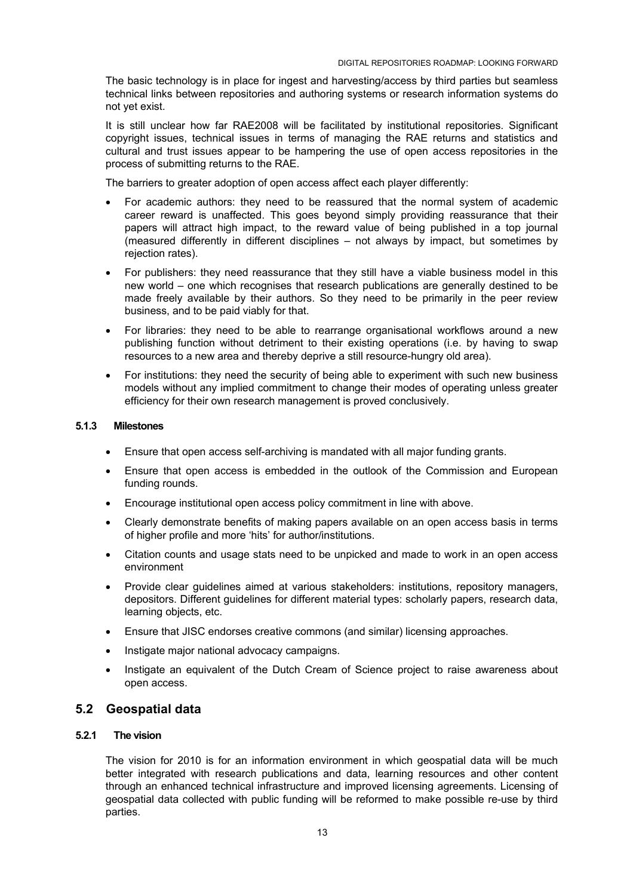<span id="page-12-0"></span>The basic technology is in place for ingest and harvesting/access by third parties but seamless technical links between repositories and authoring systems or research information systems do not yet exist.

It is still unclear how far RAE2008 will be facilitated by institutional repositories. Significant copyright issues, technical issues in terms of managing the RAE returns and statistics and cultural and trust issues appear to be hampering the use of open access repositories in the process of submitting returns to the RAE.

The barriers to greater adoption of open access affect each player differently:

- For academic authors: they need to be reassured that the normal system of academic career reward is unaffected. This goes beyond simply providing reassurance that their papers will attract high impact, to the reward value of being published in a top journal (measured differently in different disciplines – not always by impact, but sometimes by rejection rates).
- For publishers: they need reassurance that they still have a viable business model in this new world – one which recognises that research publications are generally destined to be made freely available by their authors. So they need to be primarily in the peer review business, and to be paid viably for that.
- For libraries: they need to be able to rearrange organisational workflows around a new publishing function without detriment to their existing operations (i.e. by having to swap resources to a new area and thereby deprive a still resource-hungry old area).
- For institutions: they need the security of being able to experiment with such new business models without any implied commitment to change their modes of operating unless greater efficiency for their own research management is proved conclusively.

#### **5.1.3 Milestones**

- Ensure that open access self-archiving is mandated with all major funding grants.
- Ensure that open access is embedded in the outlook of the Commission and European funding rounds.
- Encourage institutional open access policy commitment in line with above.
- Clearly demonstrate benefits of making papers available on an open access basis in terms of higher profile and more 'hits' for author/institutions.
- Citation counts and usage stats need to be unpicked and made to work in an open access environment
- Provide clear guidelines aimed at various stakeholders: institutions, repository managers, depositors. Different guidelines for different material types: scholarly papers, research data, learning objects, etc.
- Ensure that JISC endorses creative commons (and similar) licensing approaches.
- Instigate major national advocacy campaigns.
- Instigate an equivalent of the Dutch Cream of Science project to raise awareness about open access.

#### **5.2 Geospatial data**

#### **5.2.1 The vision**

The vision for 2010 is for an information environment in which geospatial data will be much better integrated with research publications and data, learning resources and other content through an enhanced technical infrastructure and improved licensing agreements. Licensing of geospatial data collected with public funding will be reformed to make possible re-use by third parties.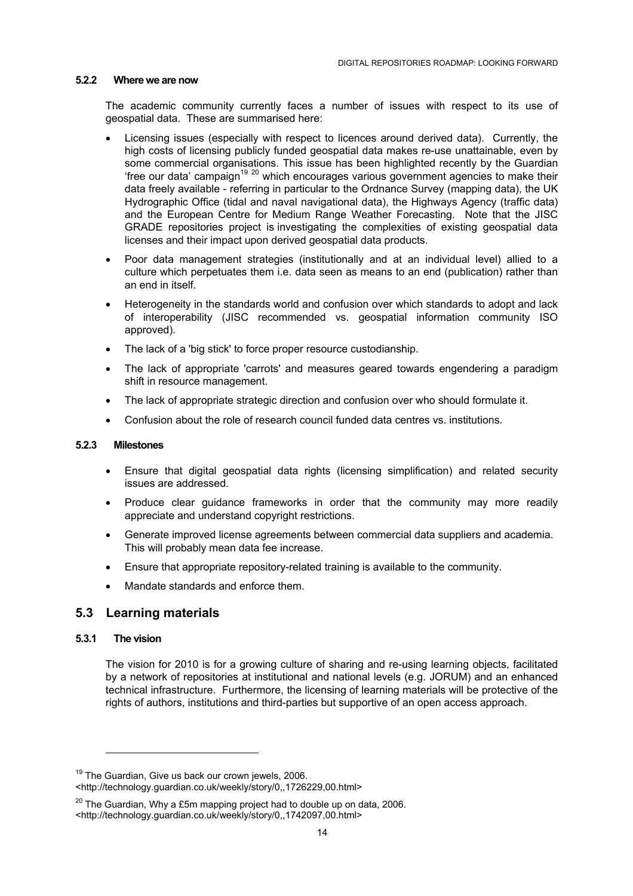#### <span id="page-13-0"></span>**5.2.2 Where we are now**

The academic community currently faces a number of issues with respect to its use of geospatial data. These are summarised here:

- Licensing issues (especially with respect to licences around derived data). Currently, the high costs of licensing publicly funded geospatial data makes re-use unattainable, even by some commercial organisations. This issue has been highlighted recently by the Guardian 'free our data' campaign<sup>19 20</sup> which encourages various government agencies to make their data freely available - referring in particular to the Ordnance Survey (mapping data), the UK Hydrographic Office (tidal and naval navigational data), the Highways Agency (traffic data) and the European Centre for Medium Range Weather Forecasting. Note that the JISC GRADE repositories project is investigating the complexities of existing geospatial data licenses and their impact upon derived geospatial data products.
- Poor data management strategies (institutionally and at an individual level) allied to a culture which perpetuates them i.e. data seen as means to an end (publication) rather than an end in itself.
- Heterogeneity in the standards world and confusion over which standards to adopt and lack of interoperability (JISC recommended vs. geospatial information community ISO approved).
- The lack of a 'big stick' to force proper resource custodianship.
- The lack of appropriate 'carrots' and measures geared towards engendering a paradigm shift in resource management.
- The lack of appropriate strategic direction and confusion over who should formulate it.
- Confusion about the role of research council funded data centres vs. institutions.

#### **5.2.3 Milestones**

- Ensure that digital geospatial data rights (licensing simplification) and related security issues are addressed.
- Produce clear guidance frameworks in order that the community may more readily appreciate and understand copyright restrictions.
- Generate improved license agreements between commercial data suppliers and academia. This will probably mean data fee increase.
- Ensure that appropriate repository-related training is available to the community.
- Mandate standards and enforce them.

## **5.3 Learning materials**

#### **5.3.1 The vision**

l

The vision for 2010 is for a growing culture of sharing and re-using learning objects, facilitated by a network of repositories at institutional and national levels (e.g. JORUM) and an enhanced technical infrastructure. Furthermore, the licensing of learning materials will be protective of the rights of authors, institutions and third-parties but supportive of an open access approach.

<span id="page-13-1"></span><sup>&</sup>lt;sup>19</sup> The Guardian, Give us back our crown jewels, 2006.

<sup>&</sup>lt;http://technology.guardian.co.uk/weekly/story/0,,1726229,00.html>

<span id="page-13-2"></span> $20$  The Guardian. Why a £5m mapping project had to double up on data, 2006. <http://technology.guardian.co.uk/weekly/story/0,,1742097,00.html>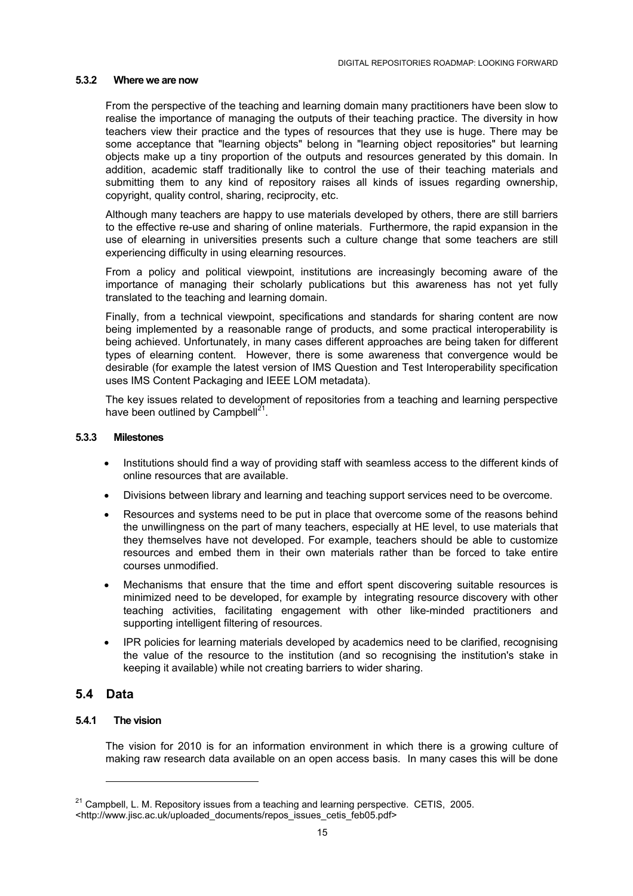#### <span id="page-14-0"></span>**5.3.2 Where we are now**

From the perspective of the teaching and learning domain many practitioners have been slow to realise the importance of managing the outputs of their teaching practice. The diversity in how teachers view their practice and the types of resources that they use is huge. There may be some acceptance that "learning objects" belong in "learning object repositories" but learning objects make up a tiny proportion of the outputs and resources generated by this domain. In addition, academic staff traditionally like to control the use of their teaching materials and submitting them to any kind of repository raises all kinds of issues regarding ownership, copyright, quality control, sharing, reciprocity, etc.

Although many teachers are happy to use materials developed by others, there are still barriers to the effective re-use and sharing of online materials. Furthermore, the rapid expansion in the use of elearning in universities presents such a culture change that some teachers are still experiencing difficulty in using elearning resources.

From a policy and political viewpoint, institutions are increasingly becoming aware of the importance of managing their scholarly publications but this awareness has not yet fully translated to the teaching and learning domain.

Finally, from a technical viewpoint, specifications and standards for sharing content are now being implemented by a reasonable range of products, and some practical interoperability is being achieved. Unfortunately, in many cases different approaches are being taken for different types of elearning content. However, there is some awareness that convergence would be desirable (for example the latest version of IMS Question and Test Interoperability specification uses IMS Content Packaging and IEEE LOM metadata).

The key issues related to development of repositories from a teaching and learning perspective have been outlined by Campbell $^{21}$ .

#### **5.3.3 Milestones**

- Institutions should find a way of providing staff with seamless access to the different kinds of online resources that are available.
- Divisions between library and learning and teaching support services need to be overcome.
- Resources and systems need to be put in place that overcome some of the reasons behind the unwillingness on the part of many teachers, especially at HE level, to use materials that they themselves have not developed. For example, teachers should be able to customize resources and embed them in their own materials rather than be forced to take entire courses unmodified.
- Mechanisms that ensure that the time and effort spent discovering suitable resources is minimized need to be developed, for example by integrating resource discovery with other teaching activities, facilitating engagement with other like-minded practitioners and supporting intelligent filtering of resources.
- IPR policies for learning materials developed by academics need to be clarified, recognising the value of the resource to the institution (and so recognising the institution's stake in keeping it available) while not creating barriers to wider sharing.

## **5.4 Data**

 $\overline{a}$ 

#### **5.4.1 The vision**

The vision for 2010 is for an information environment in which there is a growing culture of making raw research data available on an open access basis. In many cases this will be done

<span id="page-14-1"></span> $21$  Campbell, L. M. Repository issues from a teaching and learning perspective. CETIS, 2005.

<sup>&</sup>lt;http://www.jisc.ac.uk/uploaded\_documents/repos\_issues\_cetis\_feb05.pdf>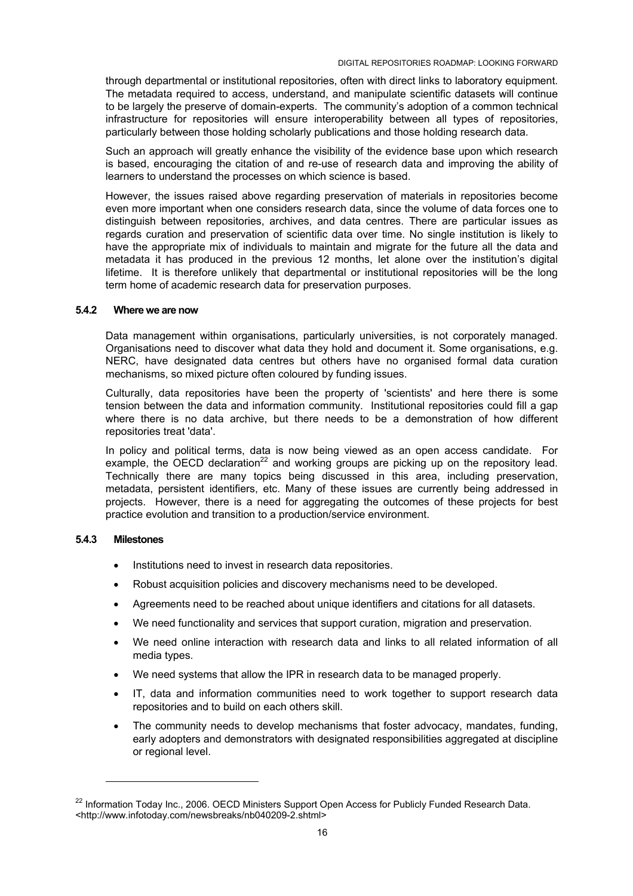<span id="page-15-0"></span>through departmental or institutional repositories, often with direct links to laboratory equipment. The metadata required to access, understand, and manipulate scientific datasets will continue to be largely the preserve of domain-experts. The community's adoption of a common technical infrastructure for repositories will ensure interoperability between all types of repositories, particularly between those holding scholarly publications and those holding research data.

Such an approach will greatly enhance the visibility of the evidence base upon which research is based, encouraging the citation of and re-use of research data and improving the ability of learners to understand the processes on which science is based.

However, the issues raised above regarding preservation of materials in repositories become even more important when one considers research data, since the volume of data forces one to distinguish between repositories, archives, and data centres. There are particular issues as regards curation and preservation of scientific data over time. No single institution is likely to have the appropriate mix of individuals to maintain and migrate for the future all the data and metadata it has produced in the previous 12 months, let alone over the institution's digital lifetime. It is therefore unlikely that departmental or institutional repositories will be the long term home of academic research data for preservation purposes.

#### **5.4.2 Where we are now**

Data management within organisations, particularly universities, is not corporately managed. Organisations need to discover what data they hold and document it. Some organisations, e.g. NERC, have designated data centres but others have no organised formal data curation mechanisms, so mixed picture often coloured by funding issues.

Culturally, data repositories have been the property of 'scientists' and here there is some tension between the data and information community. Institutional repositories could fill a gap where there is no data archive, but there needs to be a demonstration of how different repositories treat 'data'.

In policy and political terms, data is now being viewed as an open access candidate. For example, the OECD declaration<sup>22</sup> and working groups are picking up on the repository lead. Technically there are many topics being discussed in this area, including preservation, metadata, persistent identifiers, etc. Many of these issues are currently being addressed in projects. However, there is a need for aggregating the outcomes of these projects for best practice evolution and transition to a production/service environment.

#### **5.4.3 Milestones**

 $\overline{a}$ 

- Institutions need to invest in research data repositories.
- Robust acquisition policies and discovery mechanisms need to be developed.
- Agreements need to be reached about unique identifiers and citations for all datasets.
- We need functionality and services that support curation, migration and preservation.
- We need online interaction with research data and links to all related information of all media types.
- We need systems that allow the IPR in research data to be managed properly.
- IT, data and information communities need to work together to support research data repositories and to build on each others skill.
- The community needs to develop mechanisms that foster advocacy, mandates, funding, early adopters and demonstrators with designated responsibilities aggregated at discipline or regional level.

<span id="page-15-1"></span><sup>&</sup>lt;sup>22</sup> Information Todav Inc., 2006. OECD Ministers Support Open Access for Publicly Funded Research Data. <http://www.infotoday.com/newsbreaks/nb040209-2.shtml>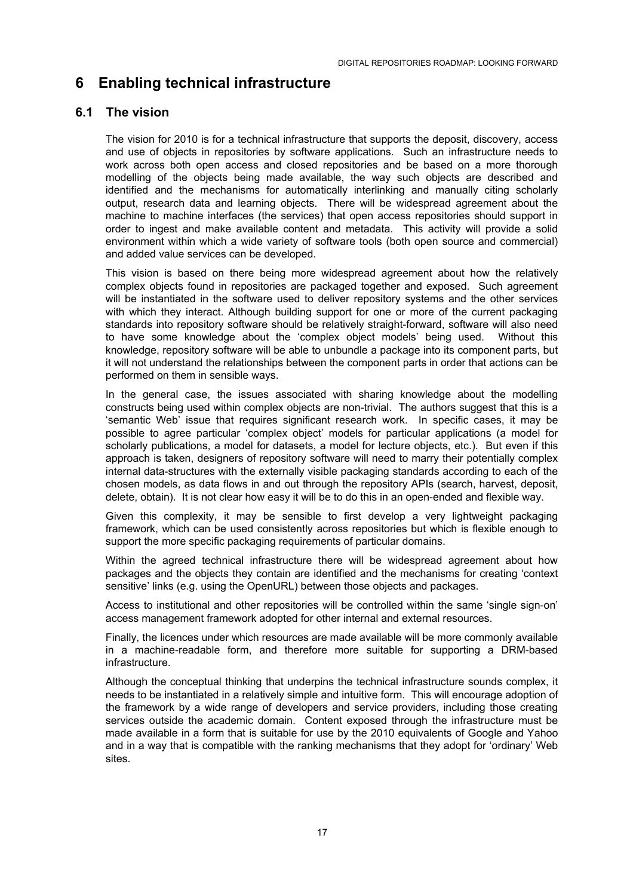# <span id="page-16-0"></span>**6 Enabling technical infrastructure**

## **6.1 The vision**

The vision for 2010 is for a technical infrastructure that supports the deposit, discovery, access and use of objects in repositories by software applications. Such an infrastructure needs to work across both open access and closed repositories and be based on a more thorough modelling of the objects being made available, the way such objects are described and identified and the mechanisms for automatically interlinking and manually citing scholarly output, research data and learning objects. There will be widespread agreement about the machine to machine interfaces (the services) that open access repositories should support in order to ingest and make available content and metadata. This activity will provide a solid environment within which a wide variety of software tools (both open source and commercial) and added value services can be developed.

This vision is based on there being more widespread agreement about how the relatively complex objects found in repositories are packaged together and exposed. Such agreement will be instantiated in the software used to deliver repository systems and the other services with which they interact. Although building support for one or more of the current packaging standards into repository software should be relatively straight-forward, software will also need to have some knowledge about the 'complex object models' being used. Without this knowledge, repository software will be able to unbundle a package into its component parts, but it will not understand the relationships between the component parts in order that actions can be performed on them in sensible ways.

In the general case, the issues associated with sharing knowledge about the modelling constructs being used within complex objects are non-trivial. The authors suggest that this is a 'semantic Web' issue that requires significant research work. In specific cases, it may be possible to agree particular 'complex object' models for particular applications (a model for scholarly publications, a model for datasets, a model for lecture objects, etc.). But even if this approach is taken, designers of repository software will need to marry their potentially complex internal data-structures with the externally visible packaging standards according to each of the chosen models, as data flows in and out through the repository APIs (search, harvest, deposit, delete, obtain). It is not clear how easy it will be to do this in an open-ended and flexible way.

Given this complexity, it may be sensible to first develop a very lightweight packaging framework, which can be used consistently across repositories but which is flexible enough to support the more specific packaging requirements of particular domains.

Within the agreed technical infrastructure there will be widespread agreement about how packages and the objects they contain are identified and the mechanisms for creating 'context sensitive' links (e.g. using the OpenURL) between those objects and packages.

Access to institutional and other repositories will be controlled within the same 'single sign-on' access management framework adopted for other internal and external resources.

Finally, the licences under which resources are made available will be more commonly available in a machine-readable form, and therefore more suitable for supporting a DRM-based infrastructure.

Although the conceptual thinking that underpins the technical infrastructure sounds complex, it needs to be instantiated in a relatively simple and intuitive form. This will encourage adoption of the framework by a wide range of developers and service providers, including those creating services outside the academic domain. Content exposed through the infrastructure must be made available in a form that is suitable for use by the 2010 equivalents of Google and Yahoo and in a way that is compatible with the ranking mechanisms that they adopt for 'ordinary' Web sites.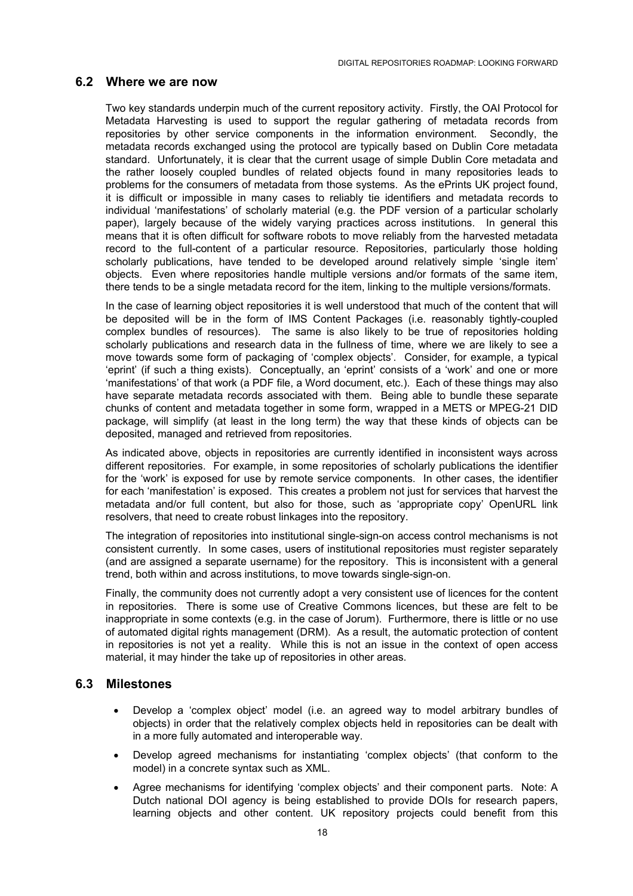#### <span id="page-17-0"></span>**6.2 Where we are now**

Two key standards underpin much of the current repository activity. Firstly, the OAI Protocol for Metadata Harvesting is used to support the regular gathering of metadata records from repositories by other service components in the information environment. Secondly, the metadata records exchanged using the protocol are typically based on Dublin Core metadata standard. Unfortunately, it is clear that the current usage of simple Dublin Core metadata and the rather loosely coupled bundles of related objects found in many repositories leads to problems for the consumers of metadata from those systems. As the ePrints UK project found, it is difficult or impossible in many cases to reliably tie identifiers and metadata records to individual 'manifestations' of scholarly material (e.g. the PDF version of a particular scholarly paper), largely because of the widely varying practices across institutions. In general this means that it is often difficult for software robots to move reliably from the harvested metadata record to the full-content of a particular resource. Repositories, particularly those holding scholarly publications, have tended to be developed around relatively simple 'single item' objects. Even where repositories handle multiple versions and/or formats of the same item, there tends to be a single metadata record for the item, linking to the multiple versions/formats.

In the case of learning object repositories it is well understood that much of the content that will be deposited will be in the form of IMS Content Packages (i.e. reasonably tightly-coupled complex bundles of resources). The same is also likely to be true of repositories holding scholarly publications and research data in the fullness of time, where we are likely to see a move towards some form of packaging of 'complex objects'. Consider, for example, a typical 'eprint' (if such a thing exists). Conceptually, an 'eprint' consists of a 'work' and one or more 'manifestations' of that work (a PDF file, a Word document, etc.). Each of these things may also have separate metadata records associated with them. Being able to bundle these separate chunks of content and metadata together in some form, wrapped in a METS or MPEG-21 DID package, will simplify (at least in the long term) the way that these kinds of objects can be deposited, managed and retrieved from repositories.

As indicated above, objects in repositories are currently identified in inconsistent ways across different repositories. For example, in some repositories of scholarly publications the identifier for the 'work' is exposed for use by remote service components. In other cases, the identifier for each 'manifestation' is exposed. This creates a problem not just for services that harvest the metadata and/or full content, but also for those, such as 'appropriate copy' OpenURL link resolvers, that need to create robust linkages into the repository.

The integration of repositories into institutional single-sign-on access control mechanisms is not consistent currently. In some cases, users of institutional repositories must register separately (and are assigned a separate username) for the repository. This is inconsistent with a general trend, both within and across institutions, to move towards single-sign-on.

Finally, the community does not currently adopt a very consistent use of licences for the content in repositories. There is some use of Creative Commons licences, but these are felt to be inappropriate in some contexts (e.g. in the case of Jorum). Furthermore, there is little or no use of automated digital rights management (DRM). As a result, the automatic protection of content in repositories is not yet a reality. While this is not an issue in the context of open access material, it may hinder the take up of repositories in other areas.

#### **6.3 Milestones**

- Develop a 'complex object' model (i.e. an agreed way to model arbitrary bundles of objects) in order that the relatively complex objects held in repositories can be dealt with in a more fully automated and interoperable way.
- Develop agreed mechanisms for instantiating 'complex objects' (that conform to the model) in a concrete syntax such as XML.
- Agree mechanisms for identifying 'complex objects' and their component parts. Note: A Dutch national DOI agency is being established to provide DOIs for research papers, learning objects and other content. UK repository projects could benefit from this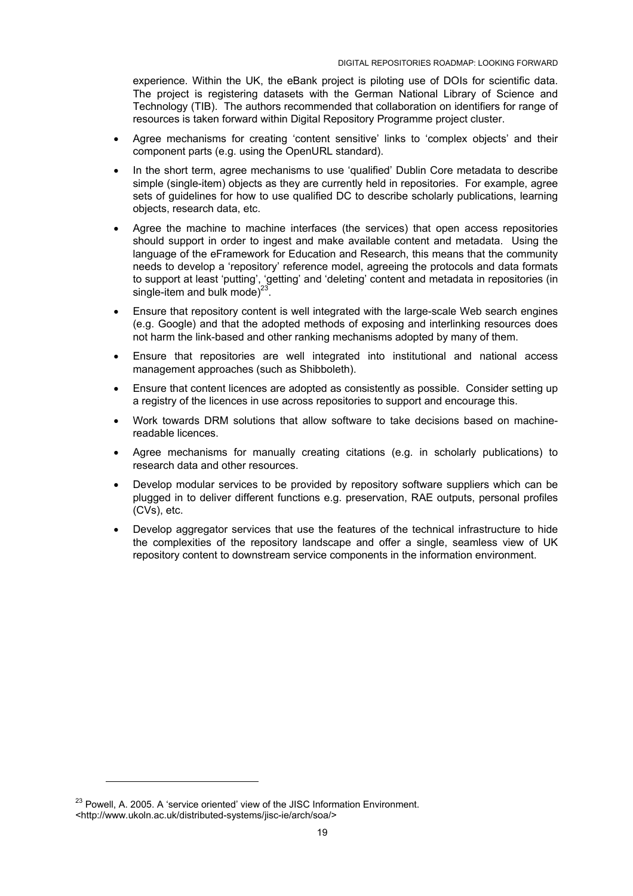experience. Within the UK, the eBank project is piloting use of DOIs for scientific data. The project is registering datasets with the German National Library of Science and Technology (TIB). The authors recommended that collaboration on identifiers for range of resources is taken forward within Digital Repository Programme project cluster.

- Agree mechanisms for creating 'content sensitive' links to 'complex objects' and their component parts (e.g. using the OpenURL standard).
- In the short term, agree mechanisms to use 'qualified' Dublin Core metadata to describe simple (single-item) objects as they are currently held in repositories. For example, agree sets of guidelines for how to use qualified DC to describe scholarly publications, learning objects, research data, etc.
- Agree the machine to machine interfaces (the services) that open access repositories should support in order to ingest and make available content and metadata. Using the language of the eFramework for Education and Research, this means that the community needs to develop a 'repository' reference model, agreeing the protocols and data formats to support at least 'putting', 'getting' and 'deleting' content and metadata in repositories (in single-item and bulk mode) $^{23}$ .
- Ensure that repository content is well integrated with the large-scale Web search engines (e.g. Google) and that the adopted methods of exposing and interlinking resources does not harm the link-based and other ranking mechanisms adopted by many of them.
- Ensure that repositories are well integrated into institutional and national access management approaches (such as Shibboleth).
- Ensure that content licences are adopted as consistently as possible. Consider setting up a registry of the licences in use across repositories to support and encourage this.
- Work towards DRM solutions that allow software to take decisions based on machinereadable licences.
- Agree mechanisms for manually creating citations (e.g. in scholarly publications) to research data and other resources.
- Develop modular services to be provided by repository software suppliers which can be plugged in to deliver different functions e.g. preservation, RAE outputs, personal profiles (CVs), etc.
- Develop aggregator services that use the features of the technical infrastructure to hide the complexities of the repository landscape and offer a single, seamless view of UK repository content to downstream service components in the information environment.

 $\overline{a}$ 

<span id="page-18-0"></span><sup>&</sup>lt;sup>23</sup> Powell. A. 2005. A 'service oriented' view of the JISC Information Environment. <http://www.ukoln.ac.uk/distributed-systems/jisc-ie/arch/soa/>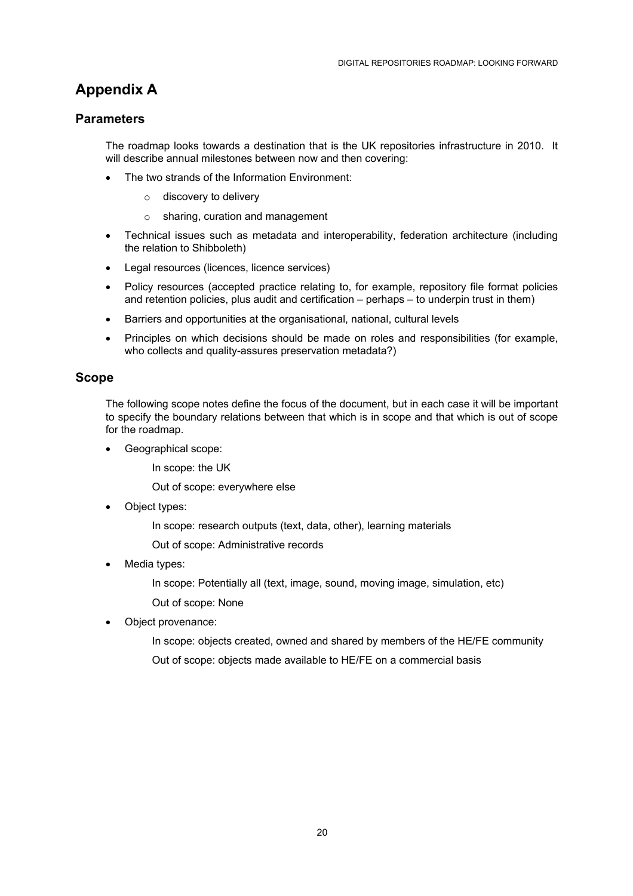# <span id="page-19-0"></span>**Appendix A**

## **Parameters**

The roadmap looks towards a destination that is the UK repositories infrastructure in 2010. It will describe annual milestones between now and then covering:

- The two strands of the Information Environment:
	- o discovery to delivery
	- o sharing, curation and management
- Technical issues such as metadata and interoperability, federation architecture (including the relation to Shibboleth)
- Legal resources (licences, licence services)
- Policy resources (accepted practice relating to, for example, repository file format policies and retention policies, plus audit and certification – perhaps – to underpin trust in them)
- Barriers and opportunities at the organisational, national, cultural levels
- Principles on which decisions should be made on roles and responsibilities (for example, who collects and quality-assures preservation metadata?)

## **Scope**

The following scope notes define the focus of the document, but in each case it will be important to specify the boundary relations between that which is in scope and that which is out of scope for the roadmap.

- Geographical scope:
	- In scope: the UK

Out of scope: everywhere else

- Object types:
	- In scope: research outputs (text, data, other), learning materials
	- Out of scope: Administrative records
- Media types:

In scope: Potentially all (text, image, sound, moving image, simulation, etc) Out of scope: None

Object provenance:

In scope: objects created, owned and shared by members of the HE/FE community Out of scope: objects made available to HE/FE on a commercial basis